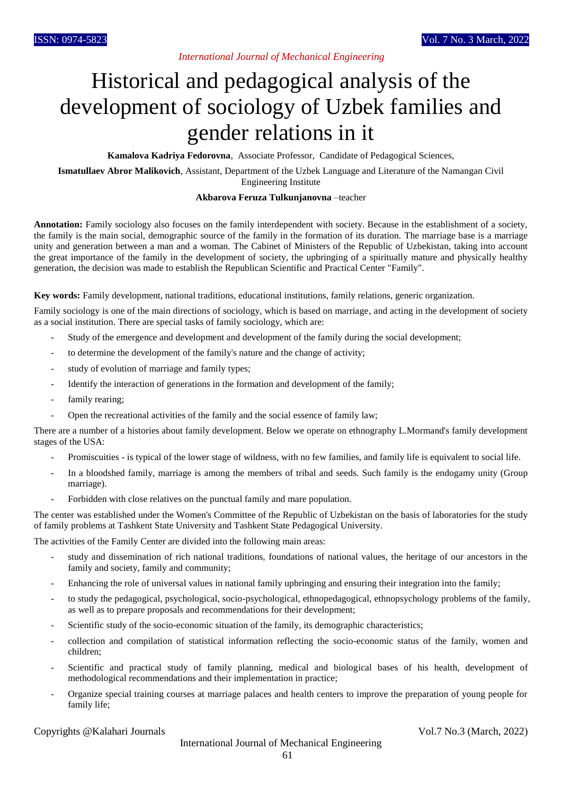## *International Journal of Mechanical Engineering*

# Historical and pedagogical analysis of the development of sociology of Uzbek families and gender relations in it

**Kamalova Kadriya Fedorovna**, Associate Professor, Candidate of Pedagogical Sciences,

**Ismatullaev Abror Malikovich**, Assistant, Department of the Uzbek Language and Literature of the Namangan Civil Engineering Institute

#### **Akbarova Feruza Tulkunjanovna** –teacher

**Annotation:** Family sociology also focuses on the family interdependent with society. Because in the establishment of a society, the family is the main social, demographic source of the family in the formation of its duration. The marriage base is a marriage unity and generation between a man and a woman. The Cabinet of Ministers of the Republic of Uzbekistan, taking into account the great importance of the family in the development of society, the upbringing of a spiritually mature and physically healthy generation, the decision was made to establish the Republican Scientific and Practical Center "Family".

**Key words:** Family development, national traditions, educational institutions, family relations, generic organization.

Family sociology is one of the main directions of sociology, which is based on marriage, and acting in the development of society as a social institution. There are special tasks of family sociology, which are:

- Study of the emergence and development and development of the family during the social development;
- to determine the development of the family's nature and the change of activity;
- study of evolution of marriage and family types;
- Identify the interaction of generations in the formation and development of the family;
- family rearing;
- Open the recreational activities of the family and the social essence of family law;

There are a number of a histories about family development. Below we operate on ethnography L.Mormand's family development stages of the USA:

- Promiscuities is typical of the lower stage of wildness, with no few families, and family life is equivalent to social life.
- In a bloodshed family, marriage is among the members of tribal and seeds. Such family is the endogamy unity (Group marriage).
- Forbidden with close relatives on the punctual family and mare population.

The center was established under the Women's Committee of the Republic of Uzbekistan on the basis of laboratories for the study of family problems at Tashkent State University and Tashkent State Pedagogical University.

The activities of the Family Center are divided into the following main areas:

- study and dissemination of rich national traditions, foundations of national values, the heritage of our ancestors in the family and society, family and community;
- Enhancing the role of universal values in national family upbringing and ensuring their integration into the family;
- to study the pedagogical, psychological, socio-psychological, ethnopedagogical, ethnopsychology problems of the family, as well as to prepare proposals and recommendations for their development;
- Scientific study of the socio-economic situation of the family, its demographic characteristics;
- collection and compilation of statistical information reflecting the socio-economic status of the family, women and children;
- Scientific and practical study of family planning, medical and biological bases of his health, development of methodological recommendations and their implementation in practice;
- Organize special training courses at marriage palaces and health centers to improve the preparation of young people for family life;

Copyrights @Kalahari Journals Vol.7 No.3 (March, 2022)

International Journal of Mechanical Engineering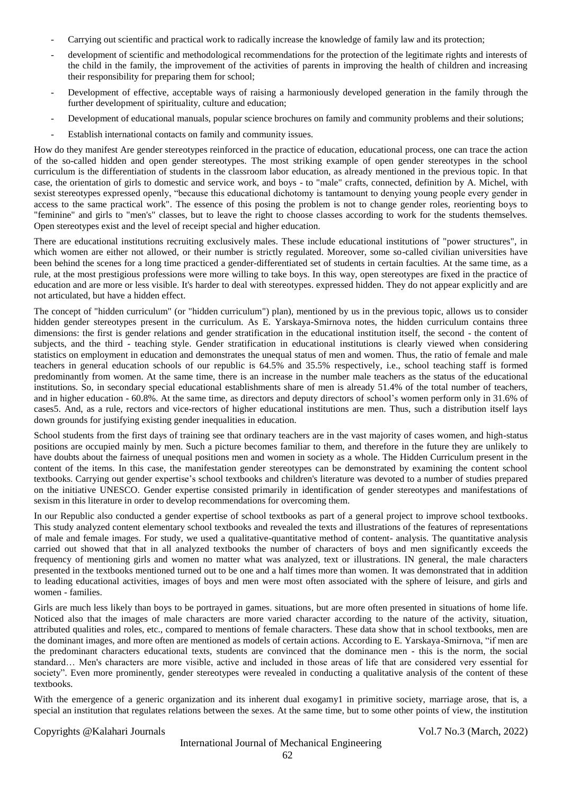- Carrying out scientific and practical work to radically increase the knowledge of family law and its protection;
- development of scientific and methodological recommendations for the protection of the legitimate rights and interests of the child in the family, the improvement of the activities of parents in improving the health of children and increasing their responsibility for preparing them for school;
- Development of effective, acceptable ways of raising a harmoniously developed generation in the family through the further development of spirituality, culture and education;
- Development of educational manuals, popular science brochures on family and community problems and their solutions;
- Establish international contacts on family and community issues.

How do they manifest Are gender stereotypes reinforced in the practice of education, educational process, one can trace the action of the so-called hidden and open gender stereotypes. The most striking example of open gender stereotypes in the school curriculum is the differentiation of students in the classroom labor education, as already mentioned in the previous topic. In that case, the orientation of girls to domestic and service work, and boys - to "male" crafts, connected, definition by A. Michel, with sexist stereotypes expressed openly, "because this educational dichotomy is tantamount to denying young people every gender in access to the same practical work". The essence of this posing the problem is not to change gender roles, reorienting boys to "feminine" and girls to "men's" classes, but to leave the right to choose classes according to work for the students themselves. Open stereotypes exist and the level of receipt special and higher education.

There are educational institutions recruiting exclusively males. These include educational institutions of "power structures", in which women are either not allowed, or their number is strictly regulated. Moreover, some so-called civilian universities have been behind the scenes for a long time practiced a gender-differentiated set of students in certain faculties. At the same time, as a rule, at the most prestigious professions were more willing to take boys. In this way, open stereotypes are fixed in the practice of education and are more or less visible. It's harder to deal with stereotypes. expressed hidden. They do not appear explicitly and are not articulated, but have a hidden effect.

The concept of "hidden curriculum" (or "hidden curriculum") plan), mentioned by us in the previous topic, allows us to consider hidden gender stereotypes present in the curriculum. As E. Yarskaya-Smirnova notes, the hidden curriculum contains three dimensions: the first is gender relations and gender stratification in the educational institution itself, the second - the content of subjects, and the third - teaching style. Gender stratification in educational institutions is clearly viewed when considering statistics on employment in education and demonstrates the unequal status of men and women. Thus, the ratio of female and male teachers in general education schools of our republic is 64.5% and 35.5% respectively, i.e., school teaching staff is formed predominantly from women. At the same time, there is an increase in the number male teachers as the status of the educational institutions. So, in secondary special educational establishments share of men is already 51.4% of the total number of teachers, and in higher education - 60.8%. At the same time, as directors and deputy directors of school's women perform only in 31.6% of cases5. And, as a rule, rectors and vice-rectors of higher educational institutions are men. Thus, such a distribution itself lays down grounds for justifying existing gender inequalities in education.

School students from the first days of training see that ordinary teachers are in the vast majority of cases women, and high-status positions are occupied mainly by men. Such a picture becomes familiar to them, and therefore in the future they are unlikely to have doubts about the fairness of unequal positions men and women in society as a whole. The Hidden Curriculum present in the content of the items. In this case, the manifestation gender stereotypes can be demonstrated by examining the content school textbooks. Carrying out gender expertise's school textbooks and children's literature was devoted to a number of studies prepared on the initiative UNESCO. Gender expertise consisted primarily in identification of gender stereotypes and manifestations of sexism in this literature in order to develop recommendations for overcoming them.

In our Republic also conducted a gender expertise of school textbooks as part of a general project to improve school textbooks. This study analyzed content elementary school textbooks and revealed the texts and illustrations of the features of representations of male and female images. For study, we used a qualitative-quantitative method of content- analysis. The quantitative analysis carried out showed that that in all analyzed textbooks the number of characters of boys and men significantly exceeds the frequency of mentioning girls and women no matter what was analyzed, text or illustrations. IN general, the male characters presented in the textbooks mentioned turned out to be one and a half times more than women. It was demonstrated that in addition to leading educational activities, images of boys and men were most often associated with the sphere of leisure, and girls and women - families.

Girls are much less likely than boys to be portrayed in games. situations, but are more often presented in situations of home life. Noticed also that the images of male characters are more varied character according to the nature of the activity, situation, attributed qualities and roles, etc., compared to mentions of female characters. These data show that in school textbooks, men are the dominant images, and more often are mentioned as models of certain actions. According to E. Yarskaya-Smirnova, "if men are the predominant characters educational texts, students are convinced that the dominance men - this is the norm, the social standard… Men's characters are more visible, active and included in those areas of life that are considered very essential for society". Even more prominently, gender stereotypes were revealed in conducting a qualitative analysis of the content of these textbooks.

With the emergence of a generic organization and its inherent dual exogamy1 in primitive society, marriage arose, that is, a special an institution that regulates relations between the sexes. At the same time, but to some other points of view, the institution

#### Copyrights @Kalahari Journals Vol.7 No.3 (March, 2022)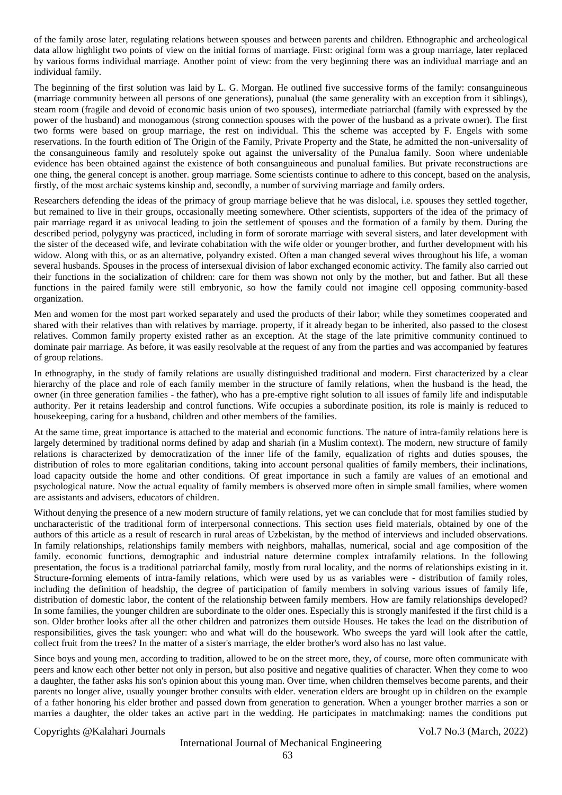of the family arose later, regulating relations between spouses and between parents and children. Ethnographic and archeological data allow highlight two points of view on the initial forms of marriage. First: original form was a group marriage, later replaced by various forms individual marriage. Another point of view: from the very beginning there was an individual marriage and an individual family.

The beginning of the first solution was laid by L. G. Morgan. He outlined five successive forms of the family: consanguineous (marriage community between all persons of one generations), punalual (the same generality with an exception from it siblings), steam room (fragile and devoid of economic basis union of two spouses), intermediate patriarchal (family with expressed by the power of the husband) and monogamous (strong connection spouses with the power of the husband as a private owner). The first two forms were based on group marriage, the rest on individual. This the scheme was accepted by F. Engels with some reservations. In the fourth edition of The Origin of the Family, Private Property and the State, he admitted the non-universality of the consanguineous family and resolutely spoke out against the universality of the Punalua family. Soon where undeniable evidence has been obtained against the existence of both consanguineous and punalual families. But private reconstructions are one thing, the general concept is another. group marriage. Some scientists continue to adhere to this concept, based on the analysis, firstly, of the most archaic systems kinship and, secondly, a number of surviving marriage and family orders.

Researchers defending the ideas of the primacy of group marriage believe that he was dislocal, i.e. spouses they settled together, but remained to live in their groups, occasionally meeting somewhere. Other scientists, supporters of the idea of the primacy of pair marriage regard it as univocal leading to join the settlement of spouses and the formation of a family by them. During the described period, polygyny was practiced, including in form of sororate marriage with several sisters, and later development with the sister of the deceased wife, and levirate cohabitation with the wife older or younger brother, and further development with his widow. Along with this, or as an alternative, polyandry existed. Often a man changed several wives throughout his life, a woman several husbands. Spouses in the process of intersexual division of labor exchanged economic activity. The family also carried out their functions in the socialization of children: care for them was shown not only by the mother, but and father. But all these functions in the paired family were still embryonic, so how the family could not imagine cell opposing community-based organization.

Men and women for the most part worked separately and used the products of their labor; while they sometimes cooperated and shared with their relatives than with relatives by marriage. property, if it already began to be inherited, also passed to the closest relatives. Common family property existed rather as an exception. At the stage of the late primitive community continued to dominate pair marriage. As before, it was easily resolvable at the request of any from the parties and was accompanied by features of group relations.

In ethnography, in the study of family relations are usually distinguished traditional and modern. First characterized by a clear hierarchy of the place and role of each family member in the structure of family relations, when the husband is the head, the owner (in three generation families - the father), who has a pre-emptive right solution to all issues of family life and indisputable authority. Per it retains leadership and control functions. Wife occupies a subordinate position, its role is mainly is reduced to housekeeping, caring for a husband, children and other members of the families.

At the same time, great importance is attached to the material and economic functions. The nature of intra-family relations here is largely determined by traditional norms defined by adap and shariah (in a Muslim context). The modern, new structure of family relations is characterized by democratization of the inner life of the family, equalization of rights and duties spouses, the distribution of roles to more egalitarian conditions, taking into account personal qualities of family members, their inclinations, load capacity outside the home and other conditions. Of great importance in such a family are values of an emotional and psychological nature. Now the actual equality of family members is observed more often in simple small families, where women are assistants and advisers, educators of children.

Without denying the presence of a new modern structure of family relations, yet we can conclude that for most families studied by uncharacteristic of the traditional form of interpersonal connections. This section uses field materials, obtained by one of the authors of this article as a result of research in rural areas of Uzbekistan, by the method of interviews and included observations. In family relationships, relationships family members with neighbors, mahallas, numerical, social and age composition of the family. economic functions, demographic and industrial nature determine complex intrafamily relations. In the following presentation, the focus is a traditional patriarchal family, mostly from rural locality, and the norms of relationships existing in it. Structure-forming elements of intra-family relations, which were used by us as variables were - distribution of family roles, including the definition of headship, the degree of participation of family members in solving various issues of family life, distribution of domestic labor, the content of the relationship between family members. How are family relationships developed? In some families, the younger children are subordinate to the older ones. Especially this is strongly manifested if the first child is a son. Older brother looks after all the other children and patronizes them outside Houses. He takes the lead on the distribution of responsibilities, gives the task younger: who and what will do the housework. Who sweeps the yard will look after the cattle, collect fruit from the trees? In the matter of a sister's marriage, the elder brother's word also has no last value.

Since boys and young men, according to tradition, allowed to be on the street more, they, of course, more often communicate with peers and know each other better not only in person, but also positive and negative qualities of character. When they come to woo a daughter, the father asks his son's opinion about this young man. Over time, when children themselves become parents, and their parents no longer alive, usually younger brother consults with elder. veneration elders are brought up in children on the example of a father honoring his elder brother and passed down from generation to generation. When a younger brother marries a son or marries a daughter, the older takes an active part in the wedding. He participates in matchmaking: names the conditions put

### Copyrights @Kalahari Journals Vol.7 No.3 (March, 2022)